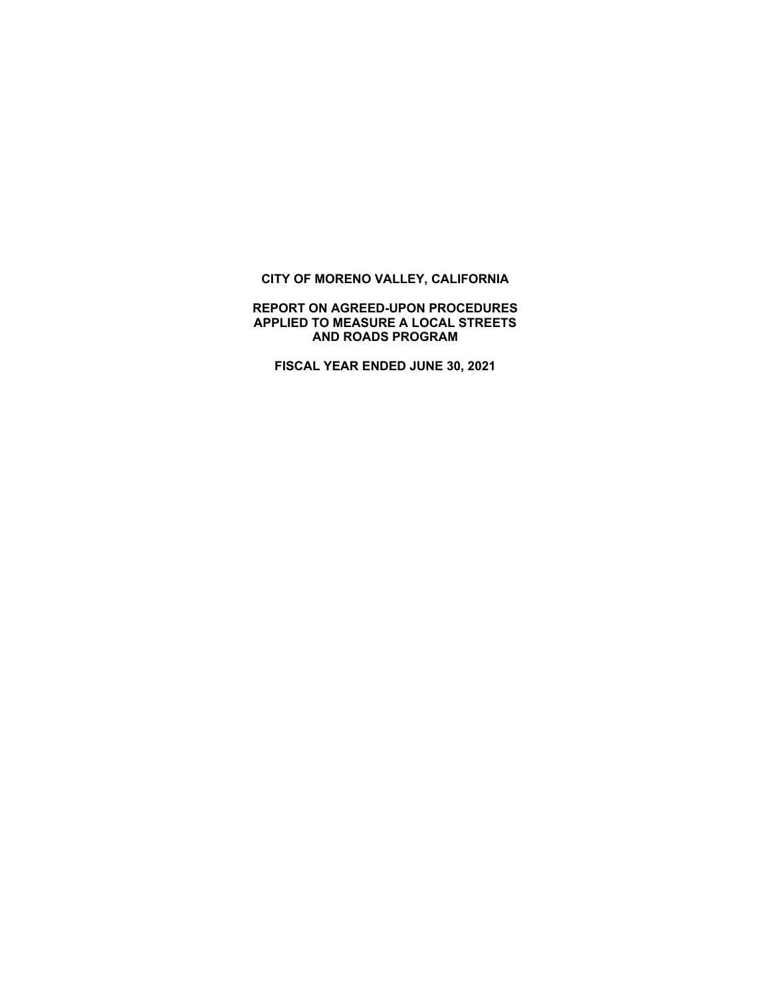# **CITY OF MORENO VALLEY, CALIFORNIA**

### **REPORT ON AGREED-UPON PROCEDURES APPLIED TO MEASURE A LOCAL STREETS AND ROADS PROGRAM**

**FISCAL YEAR ENDED JUNE 30, 2021**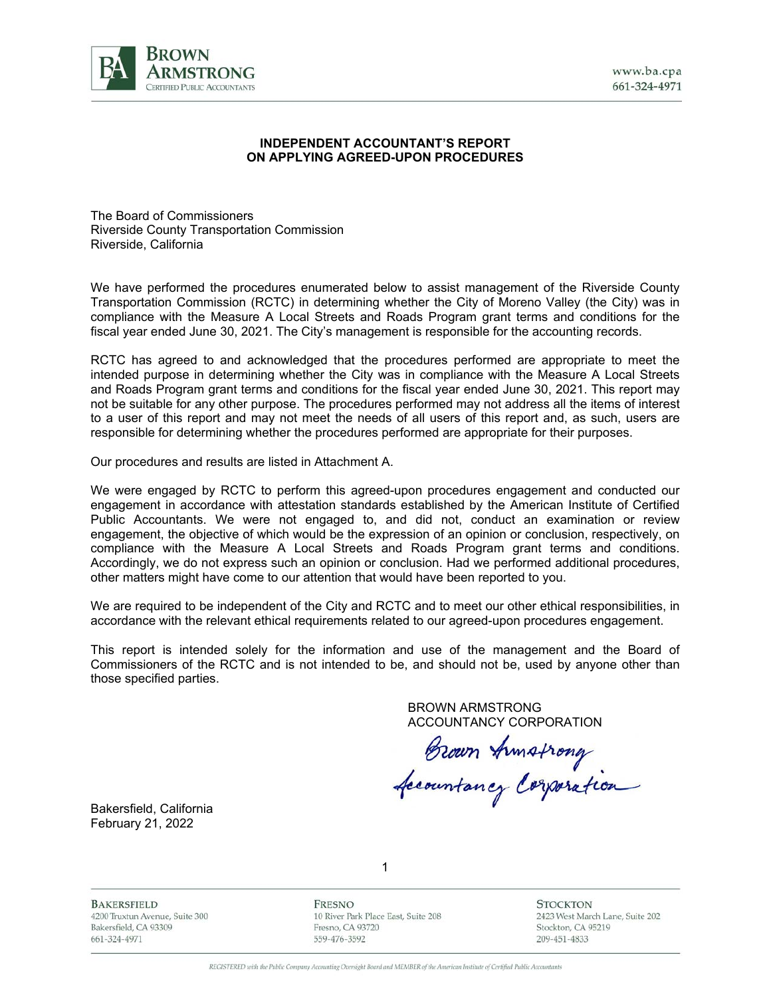

#### **INDEPENDENT ACCOUNTANT'S REPORT ON APPLYING AGREED-UPON PROCEDURES**

The Board of Commissioners Riverside County Transportation Commission Riverside, California

We have performed the procedures enumerated below to assist management of the Riverside County Transportation Commission (RCTC) in determining whether the City of Moreno Valley (the City) was in compliance with the Measure A Local Streets and Roads Program grant terms and conditions for the fiscal year ended June 30, 2021. The City's management is responsible for the accounting records.

RCTC has agreed to and acknowledged that the procedures performed are appropriate to meet the intended purpose in determining whether the City was in compliance with the Measure A Local Streets and Roads Program grant terms and conditions for the fiscal year ended June 30, 2021. This report may not be suitable for any other purpose. The procedures performed may not address all the items of interest to a user of this report and may not meet the needs of all users of this report and, as such, users are responsible for determining whether the procedures performed are appropriate for their purposes.

Our procedures and results are listed in Attachment A.

We were engaged by RCTC to perform this agreed-upon procedures engagement and conducted our engagement in accordance with attestation standards established by the American Institute of Certified Public Accountants. We were not engaged to, and did not, conduct an examination or review engagement, the objective of which would be the expression of an opinion or conclusion, respectively, on compliance with the Measure A Local Streets and Roads Program grant terms and conditions. Accordingly, we do not express such an opinion or conclusion. Had we performed additional procedures, other matters might have come to our attention that would have been reported to you.

We are required to be independent of the City and RCTC and to meet our other ethical responsibilities, in accordance with the relevant ethical requirements related to our agreed-upon procedures engagement.

This report is intended solely for the information and use of the management and the Board of Commissioners of the RCTC and is not intended to be, and should not be, used by anyone other than those specified parties.

> BROWN ARMSTRONG ACCOUNTANCY CORPORATION

Brown Armstrong<br>Accountancy Corporation

Bakersfield, California February 21, 2022

**BAKERSFIELD** 4200 Truxtun Avenue, Suite 300 Bakersfield, CA 93309 661-324-4971

FRESNO 10 River Park Place East, Suite 208 Fresno, CA 93720 559-476-3592

1

**STOCKTON** 2423 West March Lane, Suite 202 Stockton, CA 95219 209-451-4833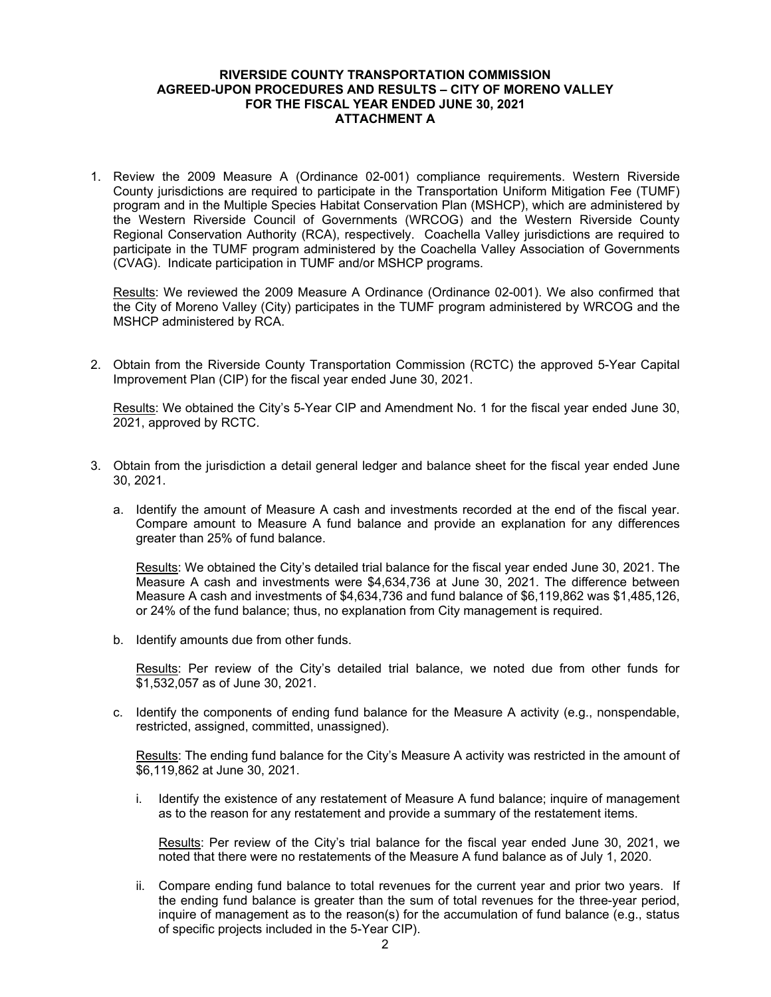#### **RIVERSIDE COUNTY TRANSPORTATION COMMISSION AGREED-UPON PROCEDURES AND RESULTS – CITY OF MORENO VALLEY FOR THE FISCAL YEAR ENDED JUNE 30, 2021 ATTACHMENT A**

1. Review the 2009 Measure A (Ordinance 02-001) compliance requirements. Western Riverside County jurisdictions are required to participate in the Transportation Uniform Mitigation Fee (TUMF) program and in the Multiple Species Habitat Conservation Plan (MSHCP), which are administered by the Western Riverside Council of Governments (WRCOG) and the Western Riverside County Regional Conservation Authority (RCA), respectively. Coachella Valley jurisdictions are required to participate in the TUMF program administered by the Coachella Valley Association of Governments (CVAG). Indicate participation in TUMF and/or MSHCP programs.

Results: We reviewed the 2009 Measure A Ordinance (Ordinance 02-001). We also confirmed that the City of Moreno Valley (City) participates in the TUMF program administered by WRCOG and the MSHCP administered by RCA.

2. Obtain from the Riverside County Transportation Commission (RCTC) the approved 5-Year Capital Improvement Plan (CIP) for the fiscal year ended June 30, 2021.

Results: We obtained the City's 5-Year CIP and Amendment No. 1 for the fiscal year ended June 30, 2021, approved by RCTC.

- 3. Obtain from the jurisdiction a detail general ledger and balance sheet for the fiscal year ended June 30, 2021.
	- a. Identify the amount of Measure A cash and investments recorded at the end of the fiscal year. Compare amount to Measure A fund balance and provide an explanation for any differences greater than 25% of fund balance.

Results: We obtained the City's detailed trial balance for the fiscal year ended June 30, 2021. The Measure A cash and investments were \$4,634,736 at June 30, 2021. The difference between Measure A cash and investments of \$4,634,736 and fund balance of \$6,119,862 was \$1,485,126, or 24% of the fund balance; thus, no explanation from City management is required.

b. Identify amounts due from other funds.

Results: Per review of the City's detailed trial balance, we noted due from other funds for \$1,532,057 as of June 30, 2021.

c. Identify the components of ending fund balance for the Measure A activity (e.g., nonspendable, restricted, assigned, committed, unassigned).

Results: The ending fund balance for the City's Measure A activity was restricted in the amount of \$6,119,862 at June 30, 2021.

i. Identify the existence of any restatement of Measure A fund balance; inquire of management as to the reason for any restatement and provide a summary of the restatement items.

Results: Per review of the City's trial balance for the fiscal year ended June 30, 2021, we noted that there were no restatements of the Measure A fund balance as of July 1, 2020.

ii. Compare ending fund balance to total revenues for the current year and prior two years. If the ending fund balance is greater than the sum of total revenues for the three-year period, inquire of management as to the reason(s) for the accumulation of fund balance (e.g., status of specific projects included in the 5-Year CIP).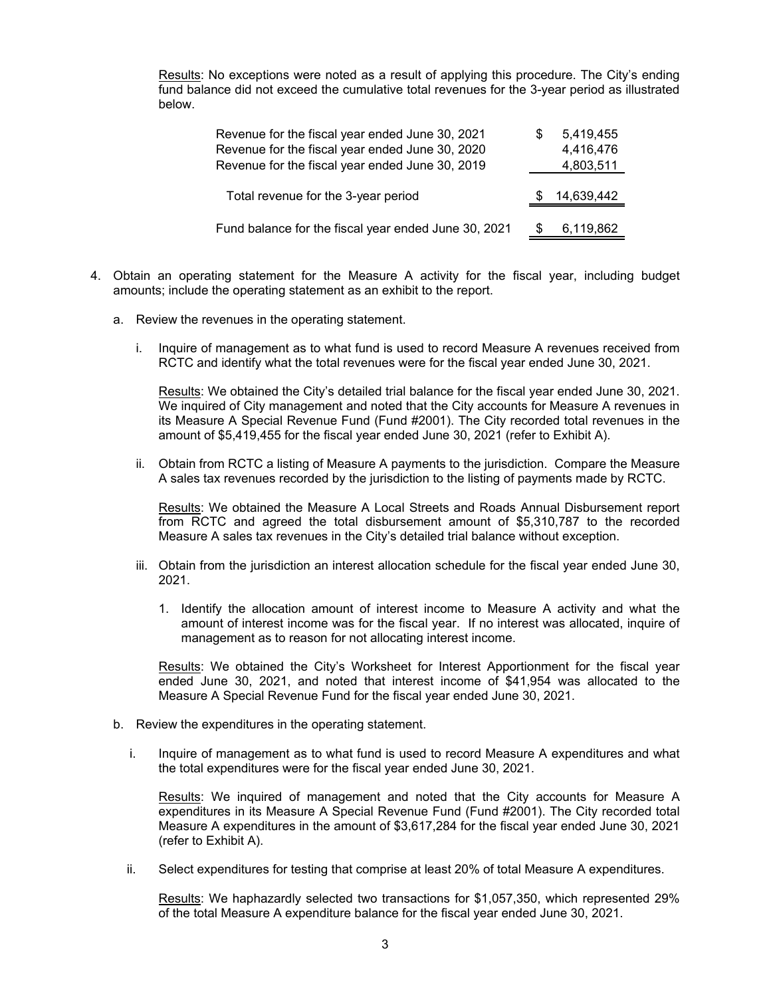Results: No exceptions were noted as a result of applying this procedure. The City's ending fund balance did not exceed the cumulative total revenues for the 3-year period as illustrated below.

| Revenue for the fiscal year ended June 30, 2021      | 5,419,455  |
|------------------------------------------------------|------------|
| Revenue for the fiscal year ended June 30, 2020      | 4,416,476  |
| Revenue for the fiscal year ended June 30, 2019      | 4,803,511  |
| Total revenue for the 3-year period                  | 14,639,442 |
| Fund balance for the fiscal year ended June 30, 2021 | 6,119,862  |

- 4. Obtain an operating statement for the Measure A activity for the fiscal year, including budget amounts; include the operating statement as an exhibit to the report.
	- a. Review the revenues in the operating statement.
		- i. Inquire of management as to what fund is used to record Measure A revenues received from RCTC and identify what the total revenues were for the fiscal year ended June 30, 2021.

Results: We obtained the City's detailed trial balance for the fiscal year ended June 30, 2021. We inquired of City management and noted that the City accounts for Measure A revenues in its Measure A Special Revenue Fund (Fund #2001). The City recorded total revenues in the amount of \$5,419,455 for the fiscal year ended June 30, 2021 (refer to Exhibit A).

ii. Obtain from RCTC a listing of Measure A payments to the jurisdiction. Compare the Measure A sales tax revenues recorded by the jurisdiction to the listing of payments made by RCTC.

Results: We obtained the Measure A Local Streets and Roads Annual Disbursement report from RCTC and agreed the total disbursement amount of \$5,310,787 to the recorded Measure A sales tax revenues in the City's detailed trial balance without exception.

- iii. Obtain from the jurisdiction an interest allocation schedule for the fiscal year ended June 30, 2021.
	- 1. Identify the allocation amount of interest income to Measure A activity and what the amount of interest income was for the fiscal year. If no interest was allocated, inquire of management as to reason for not allocating interest income.

Results: We obtained the City's Worksheet for Interest Apportionment for the fiscal year ended June 30, 2021, and noted that interest income of \$41,954 was allocated to the Measure A Special Revenue Fund for the fiscal year ended June 30, 2021.

- b. Review the expenditures in the operating statement.
	- i. Inquire of management as to what fund is used to record Measure A expenditures and what the total expenditures were for the fiscal year ended June 30, 2021.

Results: We inquired of management and noted that the City accounts for Measure A expenditures in its Measure A Special Revenue Fund (Fund #2001). The City recorded total Measure A expenditures in the amount of \$3,617,284 for the fiscal year ended June 30, 2021 (refer to Exhibit A).

ii. Select expenditures for testing that comprise at least 20% of total Measure A expenditures.

Results: We haphazardly selected two transactions for \$1,057,350, which represented 29% of the total Measure A expenditure balance for the fiscal year ended June 30, 2021.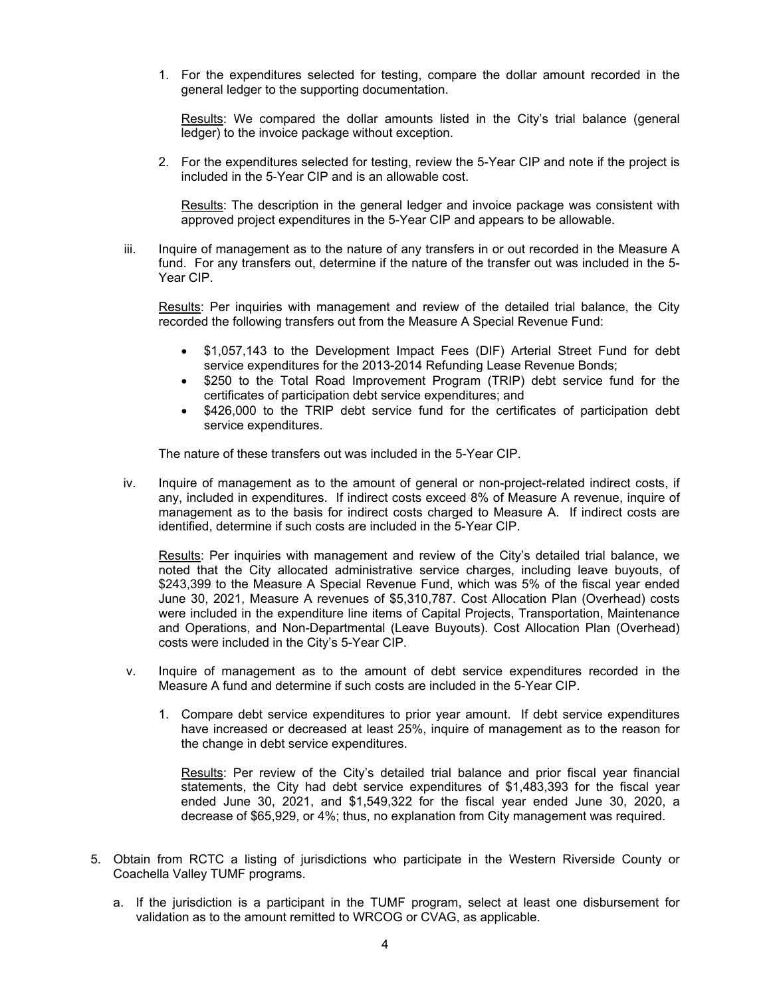1. For the expenditures selected for testing, compare the dollar amount recorded in the general ledger to the supporting documentation.

Results: We compared the dollar amounts listed in the City's trial balance (general ledger) to the invoice package without exception.

2. For the expenditures selected for testing, review the 5-Year CIP and note if the project is included in the 5-Year CIP and is an allowable cost.

Results: The description in the general ledger and invoice package was consistent with approved project expenditures in the 5-Year CIP and appears to be allowable.

iii. Inquire of management as to the nature of any transfers in or out recorded in the Measure A fund. For any transfers out, determine if the nature of the transfer out was included in the 5- Year CIP.

Results: Per inquiries with management and review of the detailed trial balance, the City recorded the following transfers out from the Measure A Special Revenue Fund:

- \$1,057,143 to the Development Impact Fees (DIF) Arterial Street Fund for debt service expenditures for the 2013-2014 Refunding Lease Revenue Bonds;
- \$250 to the Total Road Improvement Program (TRIP) debt service fund for the certificates of participation debt service expenditures; and
- \$426,000 to the TRIP debt service fund for the certificates of participation debt service expenditures.

The nature of these transfers out was included in the 5-Year CIP.

iv. Inquire of management as to the amount of general or non-project-related indirect costs, if any, included in expenditures. If indirect costs exceed 8% of Measure A revenue, inquire of management as to the basis for indirect costs charged to Measure A. If indirect costs are identified, determine if such costs are included in the 5-Year CIP.

Results: Per inquiries with management and review of the City's detailed trial balance, we noted that the City allocated administrative service charges, including leave buyouts, of \$243,399 to the Measure A Special Revenue Fund, which was 5% of the fiscal year ended June 30, 2021, Measure A revenues of \$5,310,787. Cost Allocation Plan (Overhead) costs were included in the expenditure line items of Capital Projects, Transportation, Maintenance and Operations, and Non-Departmental (Leave Buyouts). Cost Allocation Plan (Overhead) costs were included in the City's 5-Year CIP.

- v. Inquire of management as to the amount of debt service expenditures recorded in the Measure A fund and determine if such costs are included in the 5-Year CIP.
	- 1. Compare debt service expenditures to prior year amount. If debt service expenditures have increased or decreased at least 25%, inquire of management as to the reason for the change in debt service expenditures.

Results: Per review of the City's detailed trial balance and prior fiscal year financial statements, the City had debt service expenditures of \$1,483,393 for the fiscal year ended June 30, 2021, and \$1,549,322 for the fiscal year ended June 30, 2020, a decrease of \$65,929, or 4%; thus, no explanation from City management was required.

- 5. Obtain from RCTC a listing of jurisdictions who participate in the Western Riverside County or Coachella Valley TUMF programs.
	- a. If the jurisdiction is a participant in the TUMF program, select at least one disbursement for validation as to the amount remitted to WRCOG or CVAG, as applicable.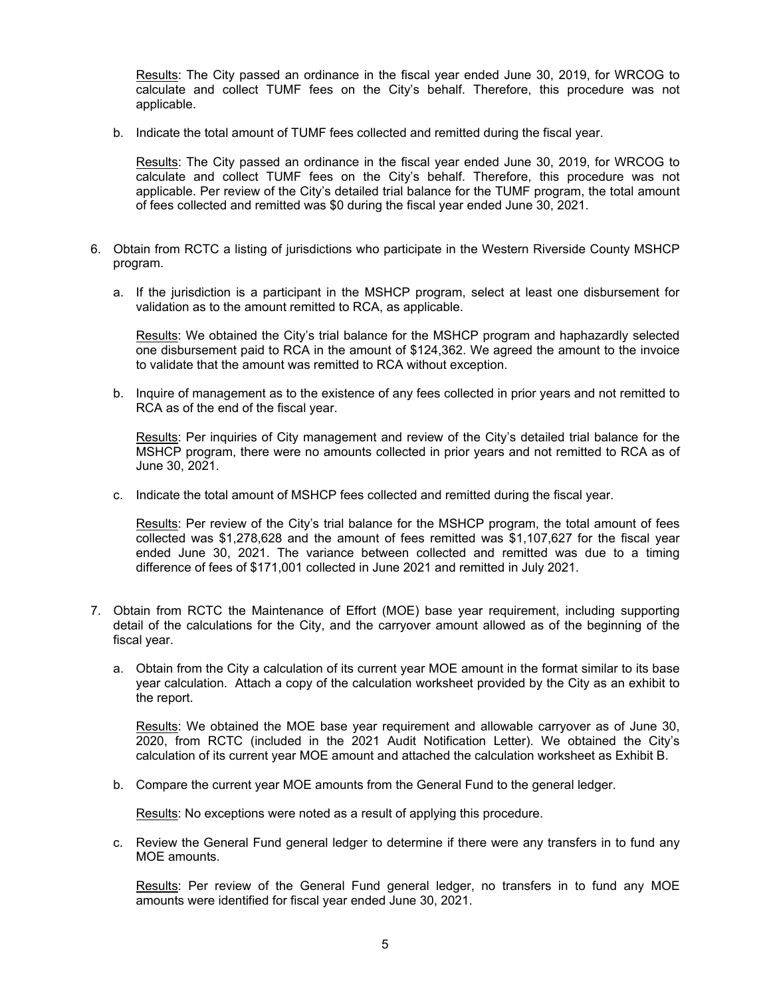Results: The City passed an ordinance in the fiscal year ended June 30, 2019, for WRCOG to calculate and collect TUMF fees on the City's behalf. Therefore, this procedure was not applicable.

b. Indicate the total amount of TUMF fees collected and remitted during the fiscal year.

Results: The City passed an ordinance in the fiscal year ended June 30, 2019, for WRCOG to calculate and collect TUMF fees on the City's behalf. Therefore, this procedure was not applicable. Per review of the City's detailed trial balance for the TUMF program, the total amount of fees collected and remitted was \$0 during the fiscal year ended June 30, 2021.

- 6. Obtain from RCTC a listing of jurisdictions who participate in the Western Riverside County MSHCP program.
	- a. If the jurisdiction is a participant in the MSHCP program, select at least one disbursement for validation as to the amount remitted to RCA, as applicable.

Results: We obtained the City's trial balance for the MSHCP program and haphazardly selected one disbursement paid to RCA in the amount of \$124,362. We agreed the amount to the invoice to validate that the amount was remitted to RCA without exception.

b. Inquire of management as to the existence of any fees collected in prior years and not remitted to RCA as of the end of the fiscal year.

Results: Per inquiries of City management and review of the City's detailed trial balance for the MSHCP program, there were no amounts collected in prior years and not remitted to RCA as of June 30, 2021.

c. Indicate the total amount of MSHCP fees collected and remitted during the fiscal year.

Results: Per review of the City's trial balance for the MSHCP program, the total amount of fees collected was \$1,278,628 and the amount of fees remitted was \$1,107,627 for the fiscal year ended June 30, 2021. The variance between collected and remitted was due to a timing difference of fees of \$171,001 collected in June 2021 and remitted in July 2021.

- 7. Obtain from RCTC the Maintenance of Effort (MOE) base year requirement, including supporting detail of the calculations for the City, and the carryover amount allowed as of the beginning of the fiscal year.
	- a. Obtain from the City a calculation of its current year MOE amount in the format similar to its base year calculation. Attach a copy of the calculation worksheet provided by the City as an exhibit to the report.

Results: We obtained the MOE base year requirement and allowable carryover as of June 30, 2020, from RCTC (included in the 2021 Audit Notification Letter). We obtained the City's calculation of its current year MOE amount and attached the calculation worksheet as Exhibit B.

b. Compare the current year MOE amounts from the General Fund to the general ledger.

Results: No exceptions were noted as a result of applying this procedure.

c. Review the General Fund general ledger to determine if there were any transfers in to fund any MOE amounts.

Results: Per review of the General Fund general ledger, no transfers in to fund any MOE amounts were identified for fiscal year ended June 30, 2021.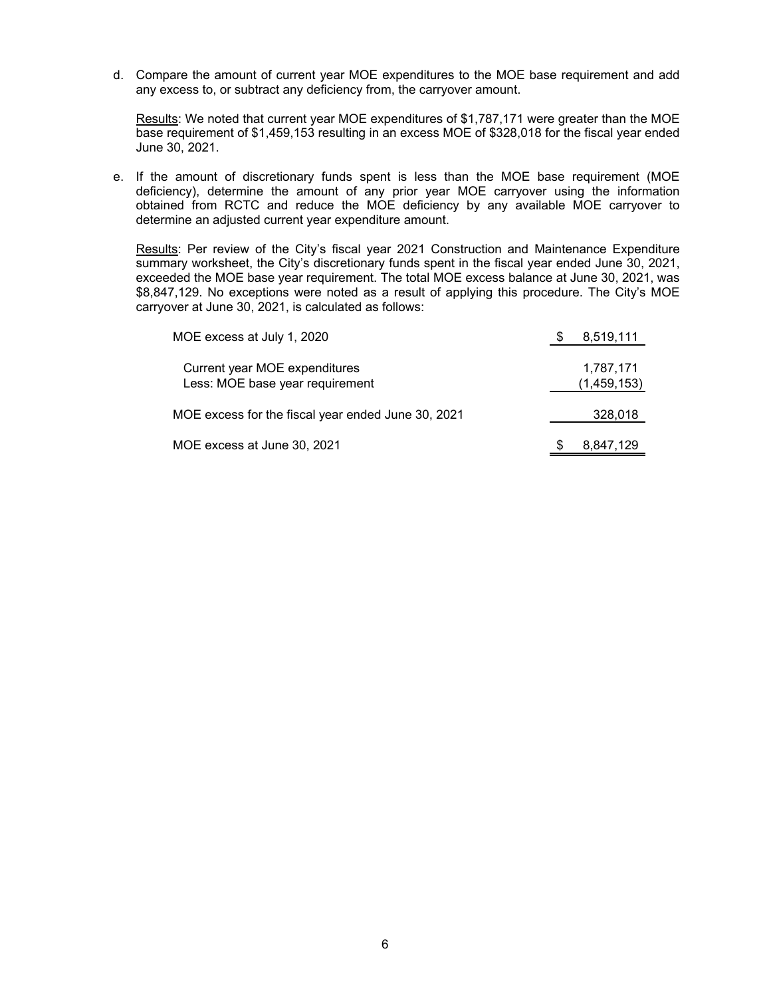d. Compare the amount of current year MOE expenditures to the MOE base requirement and add any excess to, or subtract any deficiency from, the carryover amount.

Results: We noted that current year MOE expenditures of \$1,787,171 were greater than the MOE base requirement of \$1,459,153 resulting in an excess MOE of \$328,018 for the fiscal year ended June 30, 2021.

e. If the amount of discretionary funds spent is less than the MOE base requirement (MOE deficiency), determine the amount of any prior year MOE carryover using the information obtained from RCTC and reduce the MOE deficiency by any available MOE carryover to determine an adjusted current year expenditure amount.

Results: Per review of the City's fiscal year 2021 Construction and Maintenance Expenditure summary worksheet, the City's discretionary funds spent in the fiscal year ended June 30, 2021, exceeded the MOE base year requirement. The total MOE excess balance at June 30, 2021, was \$8,847,129. No exceptions were noted as a result of applying this procedure. The City's MOE carryover at June 30, 2021, is calculated as follows:

| MOE excess at July 1, 2020                                       | 8,519,111                |
|------------------------------------------------------------------|--------------------------|
| Current year MOE expenditures<br>Less: MOE base year requirement | 1,787,171<br>(1,459,153) |
| MOE excess for the fiscal year ended June 30, 2021               | 328,018                  |
| MOE excess at June 30, 2021                                      | 8,847,129                |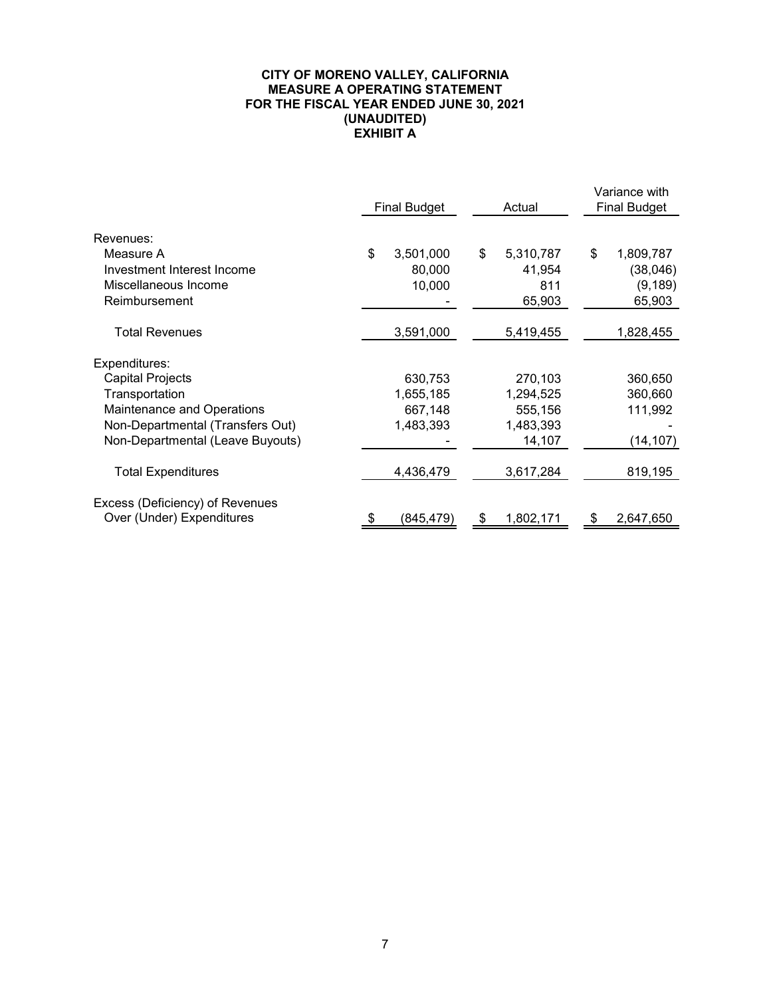## **CITY OF MORENO VALLEY, CALIFORNIA MEASURE A OPERATING STATEMENT FOR THE FISCAL YEAR ENDED JUNE 30, 2021 (UNAUDITED) EXHIBIT A**

|                                  | <b>Final Budget</b> | Actual          | Variance with<br><b>Final Budget</b> |
|----------------------------------|---------------------|-----------------|--------------------------------------|
| Revenues:                        |                     |                 |                                      |
| Measure A                        | \$<br>3,501,000     | \$<br>5,310,787 | \$<br>1,809,787                      |
| Investment Interest Income       | 80,000              | 41,954          | (38, 046)                            |
| Miscellaneous Income             | 10,000              | 811             | (9, 189)                             |
| Reimbursement                    |                     | 65,903          | 65,903                               |
| <b>Total Revenues</b>            | 3,591,000           | 5,419,455       | 1,828,455                            |
| Expenditures:                    |                     |                 |                                      |
| Capital Projects                 | 630,753             | 270,103         | 360,650                              |
| Transportation                   | 1,655,185           | 1,294,525       | 360,660                              |
| Maintenance and Operations       | 667,148             | 555,156         | 111,992                              |
| Non-Departmental (Transfers Out) | 1,483,393           | 1,483,393       |                                      |
| Non-Departmental (Leave Buyouts) |                     | 14,107          | (14,107)                             |
| <b>Total Expenditures</b>        | 4,436,479           | 3,617,284       | 819,195                              |
| Excess (Deficiency) of Revenues  |                     |                 |                                      |
| Over (Under) Expenditures        | \$<br>(845,479)     | \$<br>1,802,171 | \$<br>2,647,650                      |